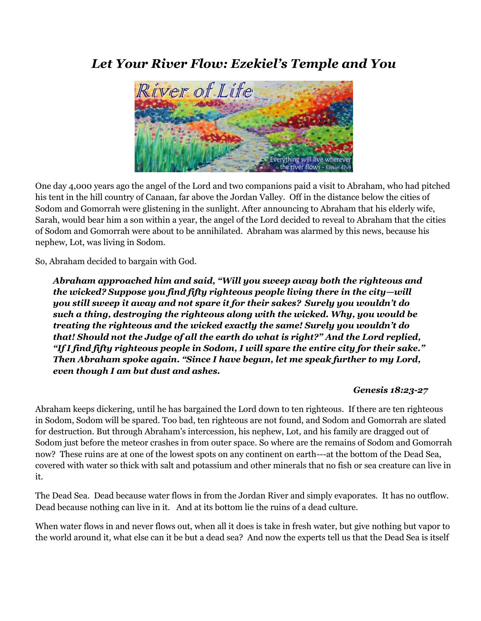# *Let Your River Flow: Ezekiel's Temple and You*



One day 4,000 years ago the angel of the Lord and two companions paid a visit to Abraham, who had pitched his tent in the hill country of Canaan, far above the Jordan Valley. Off in the distance below the cities of Sodom and Gomorrah were glistening in the sunlight. After announcing to Abraham that his elderly wife, Sarah, would bear him a son within a year, the angel of the Lord decided to reveal to Abraham that the cities of Sodom and Gomorrah were about to be annihilated. Abraham was alarmed by this news, because his nephew, Lot, was living in Sodom.

So, Abraham decided to bargain with God.

*Abraham approached him and said, "Will you sweep away both the righteous and the wicked? Suppose you find fifty righteous people living there in the city—will you still sweep it away and not spare it for their sakes? Surely you wouldn't do such a thing, destroying the righteous along with the wicked. Why, you would be treating the righteous and the wicked exactly the same! Surely you wouldn't do that! Should not the Judge of all the earth do what is right?" And the Lord replied, "If I find fifty righteous people in Sodom, I will spare the entire city for their sake." Then Abraham spoke again. "Since I have begun, let me speak further to my Lord, even though I am but dust and ashes.*

#### *Genesis 18:23-27*

Abraham keeps dickering, until he has bargained the Lord down to ten righteous. If there are ten righteous in Sodom, Sodom will be spared. Too bad, ten righteous are not found, and Sodom and Gomorrah are slated for destruction. But through Abraham's intercession, his nephew, Lot, and his family are dragged out of Sodom just before the meteor crashes in from outer space. So where are the remains of Sodom and Gomorrah now? These ruins are at one of the lowest spots on any continent on earth---at the bottom of the Dead Sea, covered with water so thick with salt and potassium and other minerals that no fish or sea creature can live in it.

The Dead Sea. Dead because water flows in from the Jordan River and simply evaporates. It has no outflow. Dead because nothing can live in it. And at its bottom lie the ruins of a dead culture.

When water flows in and never flows out, when all it does is take in fresh water, but give nothing but vapor to the world around it, what else can it be but a dead sea? And now the experts tell us that the Dead Sea is itself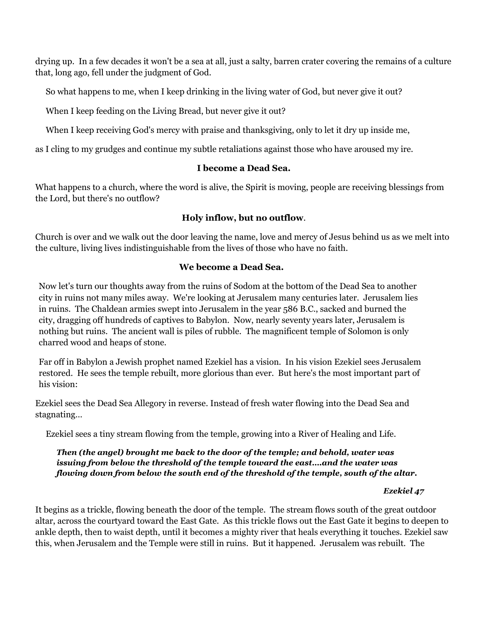drying up. In a few decades it won't be a sea at all, just a salty, barren crater covering the remains of a culture that, long ago, fell under the judgment of God.

So what happens to me, when I keep drinking in the living water of God, but never give it out?

When I keep feeding on the Living Bread, but never give it out?

When I keep receiving God's mercy with praise and thanksgiving, only to let it dry up inside me,

as I cling to my grudges and continue my subtle retaliations against those who have aroused my ire.

#### **I become a Dead Sea.**

What happens to a church, where the word is alive, the Spirit is moving, people are receiving blessings from the Lord, but there's no outflow?

### **Holy inflow, but no outflow**.

Church is over and we walk out the door leaving the name, love and mercy of Jesus behind us as we melt into the culture, living lives indistinguishable from the lives of those who have no faith.

### **We become a Dead Sea.**

Now let's turn our thoughts away from the ruins of Sodom at the bottom of the Dead Sea to another city in ruins not many miles away. We're looking at Jerusalem many centuries later. Jerusalem lies in ruins. The Chaldean armies swept into Jerusalem in the year 586 B.C., sacked and burned the city, dragging off hundreds of captives to Babylon. Now, nearly seventy years later, Jerusalem is nothing but ruins. The ancient wall is piles of rubble. The magnificent temple of Solomon is only charred wood and heaps of stone.

Far off in Babylon a Jewish prophet named Ezekiel has a vision. In his vision Ezekiel sees Jerusalem restored. He sees the temple rebuilt, more glorious than ever. But here's the most important part of his vision:

Ezekiel sees the Dead Sea Allegory in reverse. Instead of fresh water flowing into the Dead Sea and stagnating…

Ezekiel sees a tiny stream flowing from the temple, growing into a River of Healing and Life.

#### *Then (the angel) brought me back to the door of the temple; and behold, water was issuing from below the threshold of the temple toward the east….and the water was flowing down from below the south end of the threshold of the temple, south of the altar.*

## *Ezekiel 47*

It begins as a trickle, flowing beneath the door of the temple. The stream flows south of the great outdoor altar, across the courtyard toward the East Gate. As this trickle flows out the East Gate it begins to deepen to ankle depth, then to waist depth, until it becomes a mighty river that heals everything it touches. Ezekiel saw this, when Jerusalem and the Temple were still in ruins. But it happened. Jerusalem was rebuilt. The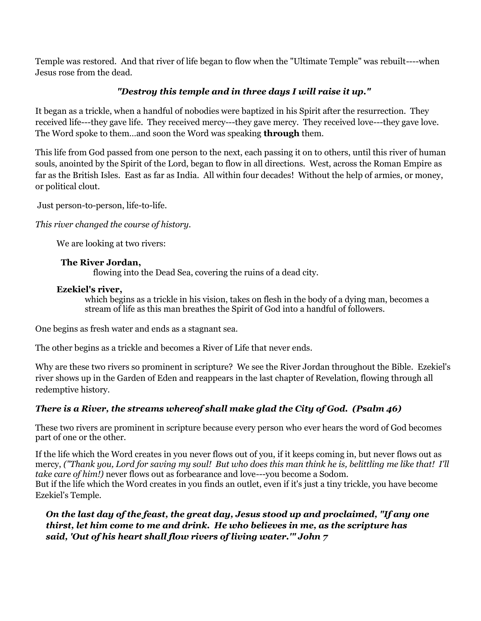Temple was restored. And that river of life began to flow when the "Ultimate Temple" was rebuilt----when Jesus rose from the dead.

## *"Destroy this temple and in three days I will raise it up."*

It began as a trickle, when a handful of nobodies were baptized in his Spirit after the resurrection. They received life---they gave life. They received mercy---they gave mercy. They received love---they gave love. The Word spoke to them…and soon the Word was speaking **through** them.

This life from God passed from one person to the next, each passing it on to others, until this river of human souls, anointed by the Spirit of the Lord, began to flow in all directions. West, across the Roman Empire as far as the British Isles. East as far as India. All within four decades! Without the help of armies, or money, or political clout.

Just person-to-person, life-to-life.

*This river changed the course of history.*

We are looking at two rivers:

### **The River Jordan,**

flowing into the Dead Sea, covering the ruins of a dead city.

### **Ezekiel's river,**

which begins as a trickle in his vision, takes on flesh in the body of a dying man, becomes a stream of life as this man breathes the Spirit of God into a handful of followers.

One begins as fresh water and ends as a stagnant sea.

The other begins as a trickle and becomes a River of Life that never ends.

Why are these two rivers so prominent in scripture? We see the River Jordan throughout the Bible. Ezekiel's river shows up in the Garden of Eden and reappears in the last chapter of Revelation, flowing through all redemptive history.

## *There is a River, the streams whereof shall make glad the City of God. (Psalm 46)*

These two rivers are prominent in scripture because every person who ever hears the word of God becomes part of one or the other.

If the life which the Word creates in you never flows out of you, if it keeps coming in, but never flows out as mercy, *("Thank you, Lord for saving my soul! But who does this man think he is, belittling me like that! I'll take care of him!)* never flows out as forbearance and love---you become a Sodom. But if the life which the Word creates in you finds an outlet, even if it's just a tiny trickle, you have become Ezekiel's Temple.

*On the last day of the feast, the great day, Jesus stood up and proclaimed, "If any one thirst, let him come to me and drink. He who believes in me, as the scripture has said, 'Out of his heart shall flow rivers of living water.'" John 7*